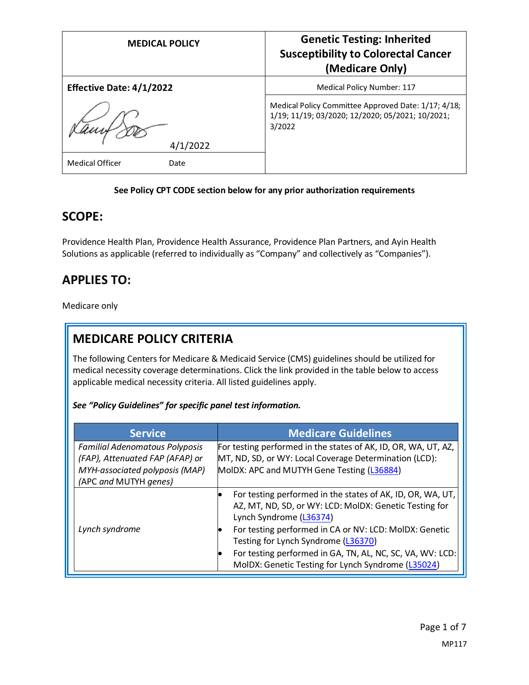| <b>MEDICAL POLICY</b>           | <b>Genetic Testing: Inherited</b><br><b>Susceptibility to Colorectal Cancer</b><br>(Medicare Only)                |
|---------------------------------|-------------------------------------------------------------------------------------------------------------------|
| <b>Effective Date: 4/1/2022</b> | <b>Medical Policy Number: 117</b>                                                                                 |
| 4/1/2022                        | Medical Policy Committee Approved Date: 1/17; 4/18;<br>1/19; 11/19; 03/2020; 12/2020; 05/2021; 10/2021;<br>3/2022 |
| <b>Medical Officer</b><br>Date  |                                                                                                                   |

#### **See Policy CPT CODE section below for any prior authorization requirements**

#### **SCOPE:**

Providence Health Plan, Providence Health Assurance, Providence Plan Partners, and Ayin Health Solutions as applicable (referred to individually as "Company" and collectively as "Companies").

## **APPLIES TO:**

Medicare only

# **MEDICARE POLICY CRITERIA**

The following Centers for Medicare & Medicaid Service (CMS) guidelines should be utilized for medical necessity coverage determinations. Click the link provided in the table below to access applicable medical necessity criteria. All listed guidelines apply.

*See "Policy Guidelines" for specific panel test information.*

| <b>Service</b>                                                                                             | <b>Medicare Guidelines</b>                                                                                                                                                                                             |
|------------------------------------------------------------------------------------------------------------|------------------------------------------------------------------------------------------------------------------------------------------------------------------------------------------------------------------------|
| <b>Familial Adenomatous Polyposis</b><br>(FAP), Attenuated FAP (AFAP) or<br>MYH-associated polyposis (MAP) | For testing performed in the states of AK, ID, OR, WA, UT, AZ,<br>MT, ND, SD, or WY: Local Coverage Determination (LCD):<br>MolDX: APC and MUTYH Gene Testing (L36884)                                                 |
| (APC and MUTYH genes)                                                                                      |                                                                                                                                                                                                                        |
|                                                                                                            | For testing performed in the states of AK, ID, OR, WA, UT,<br>$\bullet$<br>AZ, MT, ND, SD, or WY: LCD: MolDX: Genetic Testing for<br>Lynch Syndrome (L36374)                                                           |
| Lynch syndrome                                                                                             | For testing performed in CA or NV: LCD: MolDX: Genetic<br>Testing for Lynch Syndrome (L36370)<br>For testing performed in GA, TN, AL, NC, SC, VA, WV: LCD:<br>IO<br>MolDX: Genetic Testing for Lynch Syndrome (L35024) |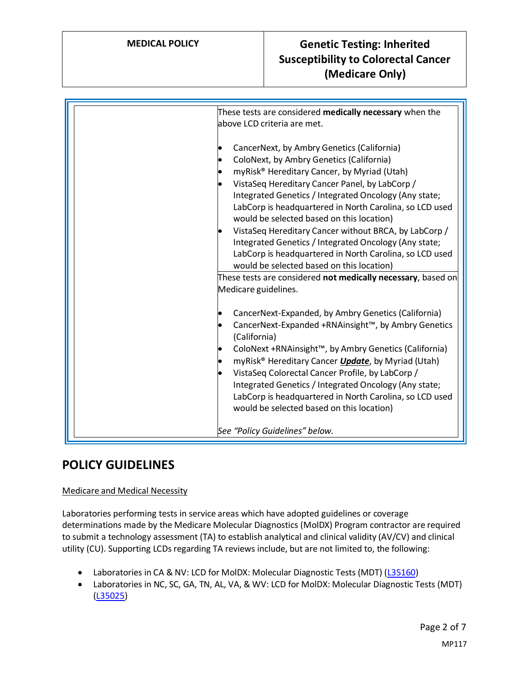| CancerNext, by Ambry Genetics (California)<br>ColoNext, by Ambry Genetics (California)                                                                                                                                                                                                                                                                                                                                                                                                                                                                   |  |
|----------------------------------------------------------------------------------------------------------------------------------------------------------------------------------------------------------------------------------------------------------------------------------------------------------------------------------------------------------------------------------------------------------------------------------------------------------------------------------------------------------------------------------------------------------|--|
| myRisk® Hereditary Cancer, by Myriad (Utah)<br>VistaSeq Hereditary Cancer Panel, by LabCorp /<br>Integrated Genetics / Integrated Oncology (Any state;<br>LabCorp is headquartered in North Carolina, so LCD used<br>would be selected based on this location)<br>VistaSeq Hereditary Cancer without BRCA, by LabCorp /<br>Integrated Genetics / Integrated Oncology (Any state;<br>LabCorp is headquartered in North Carolina, so LCD used<br>would be selected based on this location)<br>These tests are considered not medically necessary, based on |  |
| Medicare guidelines.<br>CancerNext-Expanded, by Ambry Genetics (California)<br>CancerNext-Expanded +RNAinsight™, by Ambry Genetics<br>(California)<br>ColoNext +RNAinsight™, by Ambry Genetics (California)<br>myRisk <sup>®</sup> Hereditary Cancer Update, by Myriad (Utah)<br>VistaSeq Colorectal Cancer Profile, by LabCorp /<br>Integrated Genetics / Integrated Oncology (Any state;<br>LabCorp is headquartered in North Carolina, so LCD used<br>would be selected based on this location)                                                       |  |

## **POLICY GUIDELINES**

#### Medicare and Medical Necessity

Laboratories performing tests in service areas which have adopted guidelines or coverage determinations made by the Medicare Molecular Diagnostics (MolDX) Program contractor are required to submit a technology assessment (TA) to establish analytical and clinical validity (AV/CV) and clinical utility (CU). Supporting LCDs regarding TA reviews include, but are not limited to, the following:

- Laboratories in CA & NV: LCD for MolDX: Molecular Diagnostic Tests (MDT) [\(L35160\)](https://www.cms.gov/medicare-coverage-database/view/lcd.aspx?lcdid=35160)
- Laboratories in NC, SC, GA, TN, AL, VA, & WV: LCD for MolDX: Molecular Diagnostic Tests (MDT) [\(L35025\)](https://www.cms.gov/medicare-coverage-database/view/lcd.aspx?lcdid=35025)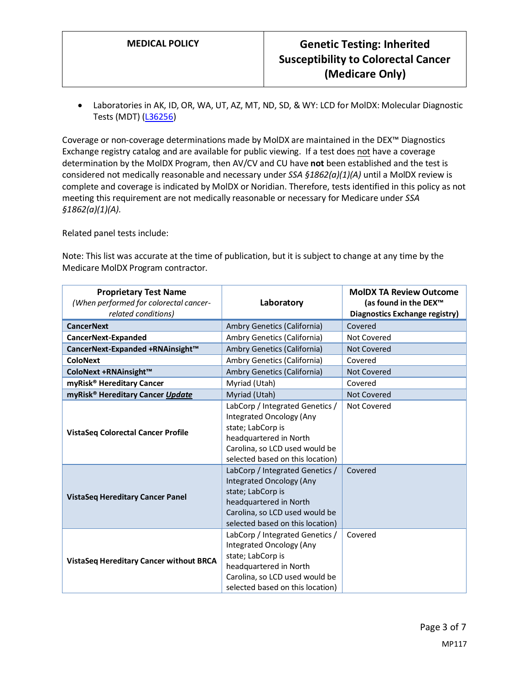• Laboratories in AK, ID, OR, WA, UT, AZ, MT, ND, SD, & WY: LCD for MolDX: Molecular Diagnostic Tests (MDT) [\(L36256\)](https://www.cms.gov/medicare-coverage-database/view/lcd.aspx?lcdid=36256)

Coverage or non-coverage determinations made by MolDX are maintained in the DEX™ Diagnostics Exchange registry catalog and are available for public viewing. If a test does not have a coverage determination by the MolDX Program, then AV/CV and CU have **not** been established and the test is considered not medically reasonable and necessary under *SSA §1862(a)(1)(A)* until a MolDX review is complete and coverage is indicated by MolDX or Noridian. Therefore, tests identified in this policy as not meeting this requirement are not medically reasonable or necessary for Medicare under *SSA §1862(a)(1)(A).*

Related panel tests include:

Note: This list was accurate at the time of publication, but it is subject to change at any time by the Medicare MolDX Program contractor.

| <b>Proprietary Test Name</b><br>(When performed for colorectal cancer-<br>related conditions) | Laboratory                                                                                                                                                                       | <b>MoIDX TA Review Outcome</b><br>(as found in the DEX <sup>™</sup><br>Diagnostics Exchange registry) |
|-----------------------------------------------------------------------------------------------|----------------------------------------------------------------------------------------------------------------------------------------------------------------------------------|-------------------------------------------------------------------------------------------------------|
| <b>CancerNext</b>                                                                             | Ambry Genetics (California)                                                                                                                                                      | Covered                                                                                               |
| CancerNext-Expanded                                                                           | Ambry Genetics (California)                                                                                                                                                      | Not Covered                                                                                           |
| CancerNext-Expanded +RNAinsight™                                                              | Ambry Genetics (California)                                                                                                                                                      | Not Covered                                                                                           |
| <b>ColoNext</b>                                                                               | Ambry Genetics (California)                                                                                                                                                      | Covered                                                                                               |
| ColoNext +RNAinsight™                                                                         | Ambry Genetics (California)                                                                                                                                                      | <b>Not Covered</b>                                                                                    |
| myRisk <sup>®</sup> Hereditary Cancer                                                         | Myriad (Utah)                                                                                                                                                                    | Covered                                                                                               |
| myRisk <sup>®</sup> Hereditary Cancer Update                                                  | Myriad (Utah)                                                                                                                                                                    | Not Covered                                                                                           |
| <b>VistaSeg Colorectal Cancer Profile</b>                                                     | LabCorp / Integrated Genetics /<br>Integrated Oncology (Any<br>state; LabCorp is<br>headquartered in North<br>Carolina, so LCD used would be<br>selected based on this location) | Not Covered                                                                                           |
| <b>VistaSeg Hereditary Cancer Panel</b>                                                       | LabCorp / Integrated Genetics /<br>Integrated Oncology (Any<br>state; LabCorp is<br>headquartered in North<br>Carolina, so LCD used would be<br>selected based on this location) | Covered                                                                                               |
| <b>VistaSeq Hereditary Cancer without BRCA</b>                                                | LabCorp / Integrated Genetics /<br>Integrated Oncology (Any<br>state; LabCorp is<br>headquartered in North<br>Carolina, so LCD used would be<br>selected based on this location) | Covered                                                                                               |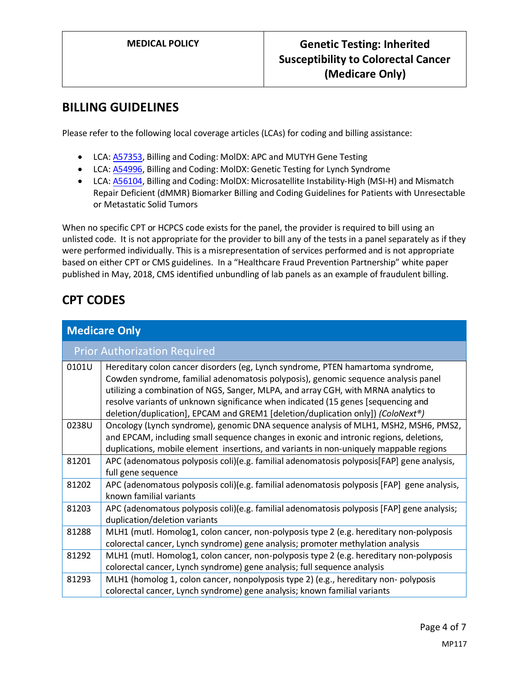### **BILLING GUIDELINES**

Please refer to the following local coverage articles (LCAs) for coding and billing assistance:

- LCA[: A57353,](https://www.cms.gov/medicare-coverage-database/details/article-details.aspx?articleId=57353) Billing and Coding: MolDX: APC and MUTYH Gene Testing
- LCA[: A54996,](https://www.cms.gov/medicare-coverage-database/details/article-details.aspx?articleId=54996) Billing and Coding: MolDX: Genetic Testing for Lynch Syndrome
- LCA[: A56104,](https://www.cms.gov/medicare-coverage-database/details/article-details.aspx?articleId=56104) Billing and Coding: MolDX: Microsatellite Instability-High (MSI-H) and Mismatch Repair Deficient (dMMR) Biomarker Billing and Coding Guidelines for Patients with Unresectable or Metastatic Solid Tumors

When no specific CPT or HCPCS code exists for the panel, the provider is required to bill using an unlisted code. It is not appropriate for the provider to bill any of the tests in a panel separately as if they were performed individually. This is a misrepresentation of services performed and is not appropriate based on either CPT or CMS guidelines. In a "Healthcare Fraud Prevention Partnership" white paper published in May, 2018, CMS identified unbundling of lab panels as an example of fraudulent billing.

## **CPT CODES**

| <b>Medicare Only</b> |                                                                                                                                                                                                                                                                                                                                                                                                                                      |  |  |  |
|----------------------|--------------------------------------------------------------------------------------------------------------------------------------------------------------------------------------------------------------------------------------------------------------------------------------------------------------------------------------------------------------------------------------------------------------------------------------|--|--|--|
|                      | <b>Prior Authorization Required</b>                                                                                                                                                                                                                                                                                                                                                                                                  |  |  |  |
| 0101U                | Hereditary colon cancer disorders (eg, Lynch syndrome, PTEN hamartoma syndrome,<br>Cowden syndrome, familial adenomatosis polyposis), genomic sequence analysis panel<br>utilizing a combination of NGS, Sanger, MLPA, and array CGH, with MRNA analytics to<br>resolve variants of unknown significance when indicated (15 genes [sequencing and<br>deletion/duplication], EPCAM and GREM1 [deletion/duplication only]) (ColoNext®) |  |  |  |
| 0238U                | Oncology (Lynch syndrome), genomic DNA sequence analysis of MLH1, MSH2, MSH6, PMS2,<br>and EPCAM, including small sequence changes in exonic and intronic regions, deletions,<br>duplications, mobile element insertions, and variants in non-uniquely mappable regions                                                                                                                                                              |  |  |  |
| 81201                | APC (adenomatous polyposis coli)(e.g. familial adenomatosis polyposis[FAP] gene analysis,<br>full gene sequence                                                                                                                                                                                                                                                                                                                      |  |  |  |
| 81202                | APC (adenomatous polyposis coli)(e.g. familial adenomatosis polyposis [FAP] gene analysis,<br>known familial variants                                                                                                                                                                                                                                                                                                                |  |  |  |
| 81203                | APC (adenomatous polyposis coli)(e.g. familial adenomatosis polyposis [FAP] gene analysis;<br>duplication/deletion variants                                                                                                                                                                                                                                                                                                          |  |  |  |
| 81288                | MLH1 (mutl. Homolog1, colon cancer, non-polyposis type 2 (e.g. hereditary non-polyposis<br>colorectal cancer, Lynch syndrome) gene analysis; promoter methylation analysis                                                                                                                                                                                                                                                           |  |  |  |
| 81292                | MLH1 (mutl. Homolog1, colon cancer, non-polyposis type 2 (e.g. hereditary non-polyposis<br>colorectal cancer, Lynch syndrome) gene analysis; full sequence analysis                                                                                                                                                                                                                                                                  |  |  |  |
| 81293                | MLH1 (homolog 1, colon cancer, nonpolyposis type 2) (e.g., hereditary non-polyposis<br>colorectal cancer, Lynch syndrome) gene analysis; known familial variants                                                                                                                                                                                                                                                                     |  |  |  |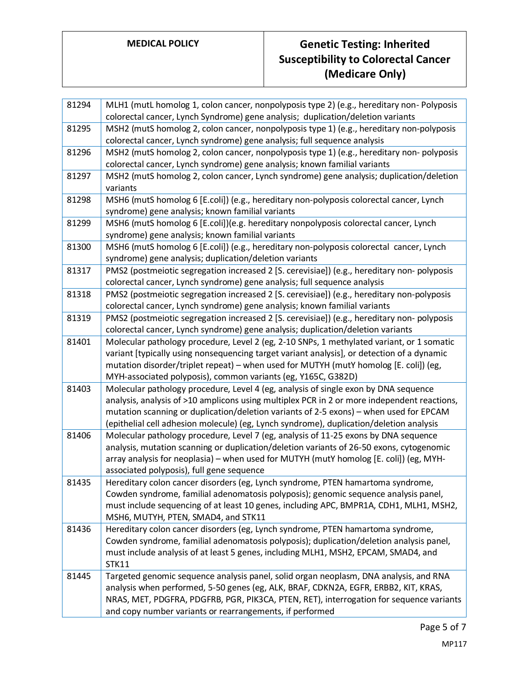# **MEDICAL POLICY Genetic Testing: Inherited Susceptibility to Colorectal Cancer (Medicare Only)**

| 81294 | MLH1 (mutL homolog 1, colon cancer, nonpolyposis type 2) (e.g., hereditary non-Polyposis                                                                                      |
|-------|-------------------------------------------------------------------------------------------------------------------------------------------------------------------------------|
|       | colorectal cancer, Lynch Syndrome) gene analysis; duplication/deletion variants                                                                                               |
| 81295 | MSH2 (mutS homolog 2, colon cancer, nonpolyposis type 1) (e.g., hereditary non-polyposis                                                                                      |
|       | colorectal cancer, Lynch syndrome) gene analysis; full sequence analysis                                                                                                      |
| 81296 | MSH2 (mutS homolog 2, colon cancer, nonpolyposis type 1) (e.g., hereditary non-polyposis                                                                                      |
|       | colorectal cancer, Lynch syndrome) gene analysis; known familial variants                                                                                                     |
| 81297 | MSH2 (mutS homolog 2, colon cancer, Lynch syndrome) gene analysis; duplication/deletion                                                                                       |
|       | variants                                                                                                                                                                      |
| 81298 | MSH6 (mutS homolog 6 [E.coli]) (e.g., hereditary non-polyposis colorectal cancer, Lynch                                                                                       |
|       | syndrome) gene analysis; known familial variants                                                                                                                              |
| 81299 | MSH6 (mutS homolog 6 [E.coli])(e.g. hereditary nonpolyposis colorectal cancer, Lynch                                                                                          |
|       | syndrome) gene analysis; known familial variants                                                                                                                              |
| 81300 | MSH6 (mutS homolog 6 [E.coli]) (e.g., hereditary non-polyposis colorectal cancer, Lynch                                                                                       |
|       | syndrome) gene analysis; duplication/deletion variants                                                                                                                        |
| 81317 | PMS2 (postmeiotic segregation increased 2 [S. cerevisiae]) (e.g., hereditary non-polyposis                                                                                    |
|       | colorectal cancer, Lynch syndrome) gene analysis; full sequence analysis                                                                                                      |
| 81318 | PMS2 (postmeiotic segregation increased 2 [S. cerevisiae]) (e.g., hereditary non-polyposis                                                                                    |
|       | colorectal cancer, Lynch syndrome) gene analysis; known familial variants                                                                                                     |
| 81319 | PMS2 (postmeiotic segregation increased 2 [S. cerevisiae]) (e.g., hereditary non-polyposis                                                                                    |
|       | colorectal cancer, Lynch syndrome) gene analysis; duplication/deletion variants                                                                                               |
| 81401 | Molecular pathology procedure, Level 2 (eg, 2-10 SNPs, 1 methylated variant, or 1 somatic                                                                                     |
|       | variant [typically using nonsequencing target variant analysis], or detection of a dynamic                                                                                    |
|       | mutation disorder/triplet repeat) – when used for MUTYH (mutY homolog [E. coli]) (eg,                                                                                         |
|       | MYH-associated polyposis), common variants (eg, Y165C, G382D)                                                                                                                 |
| 81403 | Molecular pathology procedure, Level 4 (eg, analysis of single exon by DNA sequence                                                                                           |
|       | analysis, analysis of >10 amplicons using multiplex PCR in 2 or more independent reactions,                                                                                   |
|       | mutation scanning or duplication/deletion variants of 2-5 exons) – when used for EPCAM                                                                                        |
|       | (epithelial cell adhesion molecule) (eg, Lynch syndrome), duplication/deletion analysis                                                                                       |
| 81406 | Molecular pathology procedure, Level 7 (eg, analysis of 11-25 exons by DNA sequence                                                                                           |
|       | analysis, mutation scanning or duplication/deletion variants of 26-50 exons, cytogenomic                                                                                      |
|       | array analysis for neoplasia) - when used for MUTYH (mutY homolog [E. coli]) (eg, MYH-                                                                                        |
|       | associated polyposis), full gene sequence                                                                                                                                     |
| 81435 | Hereditary colon cancer disorders (eg, Lynch syndrome, PTEN hamartoma syndrome,                                                                                               |
|       | Cowden syndrome, familial adenomatosis polyposis); genomic sequence analysis panel,<br>must include sequencing of at least 10 genes, including APC, BMPR1A, CDH1, MLH1, MSH2, |
|       | MSH6, MUTYH, PTEN, SMAD4, and STK11                                                                                                                                           |
| 81436 | Hereditary colon cancer disorders (eg, Lynch syndrome, PTEN hamartoma syndrome,                                                                                               |
|       | Cowden syndrome, familial adenomatosis polyposis); duplication/deletion analysis panel,                                                                                       |
|       | must include analysis of at least 5 genes, including MLH1, MSH2, EPCAM, SMAD4, and                                                                                            |
|       | <b>STK11</b>                                                                                                                                                                  |
| 81445 | Targeted genomic sequence analysis panel, solid organ neoplasm, DNA analysis, and RNA                                                                                         |
|       | analysis when performed, 5-50 genes (eg, ALK, BRAF, CDKN2A, EGFR, ERBB2, KIT, KRAS,                                                                                           |
|       | NRAS, MET, PDGFRA, PDGFRB, PGR, PIK3CA, PTEN, RET), interrogation for sequence variants                                                                                       |
|       | and copy number variants or rearrangements, if performed                                                                                                                      |
|       |                                                                                                                                                                               |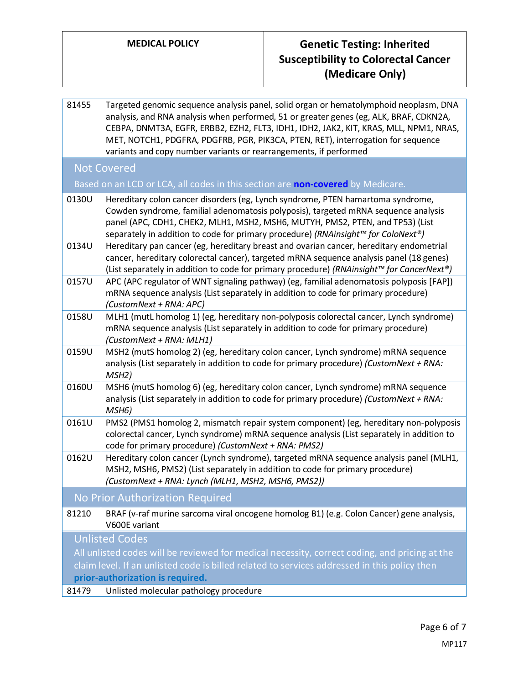### **MEDICAL POLICY Genetic Testing: Inherited Susceptibility to Colorectal Cancer (Medicare Only)**

81455 Targeted genomic sequence analysis panel, solid organ or hematolymphoid neoplasm, DNA analysis, and RNA analysis when performed, 51 or greater genes (eg, ALK, BRAF, CDKN2A, CEBPA, DNMT3A, EGFR, ERBB2, EZH2, FLT3, IDH1, IDH2, JAK2, KIT, KRAS, MLL, NPM1, NRAS, MET, NOTCH1, PDGFRA, PDGFRB, PGR, PIK3CA, PTEN, RET), interrogation for sequence variants and copy number variants or rearrangements, if performed Not Covered Based on an LCD or LCA, all codes in this section are **non-covered** by Medicare. 0130U Hereditary colon cancer disorders (eg, Lynch syndrome, PTEN hamartoma syndrome, Cowden syndrome, familial adenomatosis polyposis), targeted mRNA sequence analysis panel (APC, CDH1, CHEK2, MLH1, MSH2, MSH6, MUTYH, PMS2, PTEN, and TP53) (List separately in addition to code for primary procedure) *(RNAinsight™ for ColoNext®)* 0134U Hereditary pan cancer (eg, hereditary breast and ovarian cancer, hereditary endometrial cancer, hereditary colorectal cancer), targeted mRNA sequence analysis panel (18 genes) (List separately in addition to code for primary procedure) *(RNAinsight™ for CancerNext®)* 0157U APC (APC regulator of WNT signaling pathway) (eg, familial adenomatosis polyposis [FAP]) mRNA sequence analysis (List separately in addition to code for primary procedure) *(CustomNext + RNA: APC)* 0158U | MLH1 (mutL homolog 1) (eg, hereditary non-polyposis colorectal cancer, Lynch syndrome) mRNA sequence analysis (List separately in addition to code for primary procedure) *(CustomNext + RNA: MLH1)* 0159U MSH2 (mutS homolog 2) (eg, hereditary colon cancer, Lynch syndrome) mRNA sequence analysis (List separately in addition to code for primary procedure) *(CustomNext + RNA: MSH2)* 0160U MSH6 (mutS homolog 6) (eg, hereditary colon cancer, Lynch syndrome) mRNA sequence analysis (List separately in addition to code for primary procedure) *(CustomNext + RNA: MSH6)* 0161U PMS2 (PMS1 homolog 2, mismatch repair system component) (eg, hereditary non-polyposis colorectal cancer, Lynch syndrome) mRNA sequence analysis (List separately in addition to code for primary procedure) *(CustomNext + RNA: PMS2)* 0162U Hereditary colon cancer (Lynch syndrome), targeted mRNA sequence analysis panel (MLH1, MSH2, MSH6, PMS2) (List separately in addition to code for primary procedure) *(CustomNext + RNA: Lynch (MLH1, MSH2, MSH6, PMS2))* No Prior Authorization Required 81210 BRAF (v-raf murine sarcoma viral oncogene homolog B1) (e.g. Colon Cancer) gene analysis, V600E variant Unlisted Codes

All unlisted codes will be reviewed for medical necessity, correct coding, and pricing at the claim level. If an unlisted code is billed related to services addressed in this policy then **prior-authorization is required.**

81479 Unlisted molecular pathology procedure